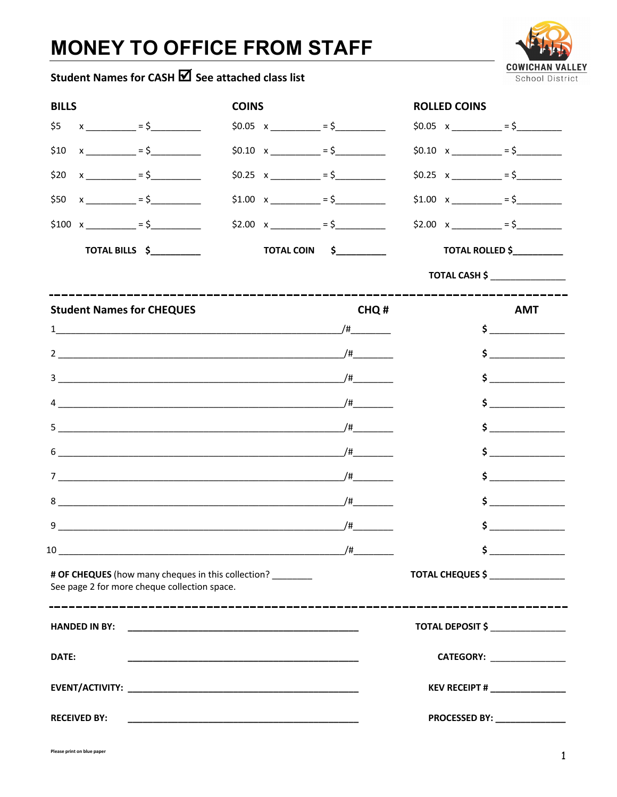## **MONEY TO OFFICE FROM STAFF**



## Student Names for CASH **■** See attached class list

| $$5 x$ x = $$5 x$                                                                                  | $$0.05 \times$ __________ = \$___________ |                                                                                                                                                                                                                                                                                                                                                     |                                                           |                                                                                                                                                                                                                                                                                                                                                  |  |
|----------------------------------------------------------------------------------------------------|-------------------------------------------|-----------------------------------------------------------------------------------------------------------------------------------------------------------------------------------------------------------------------------------------------------------------------------------------------------------------------------------------------------|-----------------------------------------------------------|--------------------------------------------------------------------------------------------------------------------------------------------------------------------------------------------------------------------------------------------------------------------------------------------------------------------------------------------------|--|
|                                                                                                    |                                           |                                                                                                                                                                                                                                                                                                                                                     |                                                           | $$0.05 \times$ __________ = \$__________                                                                                                                                                                                                                                                                                                         |  |
| $x$ = $\frac{1}{2}$ = $\frac{1}{2}$<br>\$10                                                        |                                           | $$0.10 \times$ = $$$                                                                                                                                                                                                                                                                                                                                |                                                           | $$0.10 \times ]$ = \$                                                                                                                                                                                                                                                                                                                            |  |
| $$20 \times 200 \times 1000$ = \$                                                                  |                                           | $$0.25 \times \_$ = $$$                                                                                                                                                                                                                                                                                                                             |                                                           | $$0.25 \times$ __________ = \$_________                                                                                                                                                                                                                                                                                                          |  |
| $$50 \times$ __________ = \$____________                                                           |                                           | $$1.00 \times$ = $$$                                                                                                                                                                                                                                                                                                                                |                                                           | $$1.00 \times$ = $$$                                                                                                                                                                                                                                                                                                                             |  |
| $$100 \times$ = $$$                                                                                |                                           | $$2.00 \times$ __________ = \$___________                                                                                                                                                                                                                                                                                                           |                                                           | $$2.00 \times \_$ = \$                                                                                                                                                                                                                                                                                                                           |  |
|                                                                                                    |                                           |                                                                                                                                                                                                                                                                                                                                                     |                                                           |                                                                                                                                                                                                                                                                                                                                                  |  |
|                                                                                                    |                                           |                                                                                                                                                                                                                                                                                                                                                     |                                                           | TOTAL CASH \$ ________________                                                                                                                                                                                                                                                                                                                   |  |
| <b>Student Names for CHEQUES</b>                                                                   |                                           | CHQ#                                                                                                                                                                                                                                                                                                                                                |                                                           | <b>AMT</b>                                                                                                                                                                                                                                                                                                                                       |  |
| $\frac{1}{2}$                                                                                      |                                           |                                                                                                                                                                                                                                                                                                                                                     |                                                           | $\frac{1}{2}$                                                                                                                                                                                                                                                                                                                                    |  |
|                                                                                                    |                                           |                                                                                                                                                                                                                                                                                                                                                     |                                                           | $\frac{1}{2}$                                                                                                                                                                                                                                                                                                                                    |  |
|                                                                                                    |                                           |                                                                                                                                                                                                                                                                                                                                                     |                                                           | $\sim$                                                                                                                                                                                                                                                                                                                                           |  |
|                                                                                                    |                                           | $\begin{picture}(20,20) \put(0,0){\line(1,0){10}} \put(15,0){\line(1,0){10}} \put(15,0){\line(1,0){10}} \put(15,0){\line(1,0){10}} \put(15,0){\line(1,0){10}} \put(15,0){\line(1,0){10}} \put(15,0){\line(1,0){10}} \put(15,0){\line(1,0){10}} \put(15,0){\line(1,0){10}} \put(15,0){\line(1,0){10}} \put(15,0){\line(1,0){10}} \put(15,0){\line(1$ |                                                           |                                                                                                                                                                                                                                                                                                                                                  |  |
|                                                                                                    |                                           |                                                                                                                                                                                                                                                                                                                                                     | $\mathsf{S} \hspace{0.03in} \underbrace{\hspace{0.03in}}$ |                                                                                                                                                                                                                                                                                                                                                  |  |
|                                                                                                    |                                           |                                                                                                                                                                                                                                                                                                                                                     |                                                           | $\begin{picture}(20,20)(-0,0) \put(0,0){\line(1,0){10}} \put(15,0){\line(1,0){10}} \put(15,0){\line(1,0){10}} \put(15,0){\line(1,0){10}} \put(15,0){\line(1,0){10}} \put(15,0){\line(1,0){10}} \put(15,0){\line(1,0){10}} \put(15,0){\line(1,0){10}} \put(15,0){\line(1,0){10}} \put(15,0){\line(1,0){10}} \put(15,0){\line(1,0){10}} \put(15,0$ |  |
|                                                                                                    |                                           |                                                                                                                                                                                                                                                                                                                                                     |                                                           | $\mathsf{S} \hspace{0.03in} \underbrace{\hspace{0.03in}}$                                                                                                                                                                                                                                                                                        |  |
|                                                                                                    |                                           |                                                                                                                                                                                                                                                                                                                                                     |                                                           | $\frac{1}{2}$                                                                                                                                                                                                                                                                                                                                    |  |
|                                                                                                    |                                           |                                                                                                                                                                                                                                                                                                                                                     |                                                           | $\frac{1}{2}$                                                                                                                                                                                                                                                                                                                                    |  |
|                                                                                                    |                                           | $\overline{\phantom{a}}$                                                                                                                                                                                                                                                                                                                            |                                                           | $\frac{1}{2}$                                                                                                                                                                                                                                                                                                                                    |  |
| # OF CHEQUES (how many cheques in this collection?<br>See page 2 for more cheque collection space. |                                           |                                                                                                                                                                                                                                                                                                                                                     |                                                           | TOTAL CHEQUES \$                                                                                                                                                                                                                                                                                                                                 |  |
|                                                                                                    |                                           |                                                                                                                                                                                                                                                                                                                                                     |                                                           | TOTAL DEPOSIT \$ _______________                                                                                                                                                                                                                                                                                                                 |  |
| DATE:                                                                                              |                                           |                                                                                                                                                                                                                                                                                                                                                     |                                                           | CATEGORY: ________________                                                                                                                                                                                                                                                                                                                       |  |
|                                                                                                    |                                           |                                                                                                                                                                                                                                                                                                                                                     | KEV RECEIPT # _________________                           |                                                                                                                                                                                                                                                                                                                                                  |  |
| <b>RECEIVED BY:</b>                                                                                |                                           |                                                                                                                                                                                                                                                                                                                                                     | PROCESSED BY: _______________                             |                                                                                                                                                                                                                                                                                                                                                  |  |